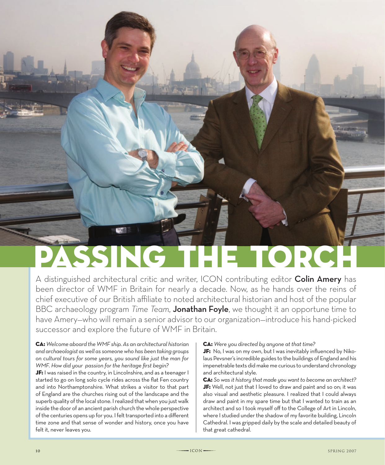# PASSING THE TORC

A distinguished architectural critic and writer, ICON contributing editor Colin Amery has been director of WMF in Britain for nearly a decade. Now, as he hands over the reins of chief executive of our British affiliate to noted architectural historian and host of the popular BBC archaeology program *Time Team*, Jonathan Foyle, we thought it an opportune time to have Amery—who will remain a senior advisor to our organization—introduce his hand-picked successor and explore the future of WMF in Britain.

CA: *Welcome aboard the WMF ship. As an architectural historian and archaeologist as well as someone who has been taking groups on cultural tours for some years, you sound like just the man for WMF. How did your passion for the heritage first begin?*

JF: I was raised in the country, in Lincolnshire, and as a teenager I started to go on long solo cycle rides across the flat Fen country and into Northamptonshire. What strikes a visitor to that part of England are the churches rising out of the landscape and the superb quality of the local stone. I realized that when you just walk inside the door of an ancient parish church the whole perspective of the centuries opens up for you. I felt transported into a different time zone and that sense of wonder and history, once you have felt it, never leaves you.

## CA: *Were you directed by anyone at that time?*

JF: No, I was on my own, but I was inevitably influenced by Nikolaus Pevsner's incredible guides to the buildings of England and his impenetrable texts did make me curious to understand chronology and architectural style.

CA: *So was it history that made you want to become an architect?*  JF: Well, not just that I loved to draw and paint and so on; it was also visual and aesthetic pleasure. I realized that I could always draw and paint in my spare time but that I wanted to train as an architect and so I took myself off to the College of Art in Lincoln, where I studied under the shadow of my favorite building, Lincoln Cathedral. I was gripped daily by the scale and detailed beauty of that great cathedral.